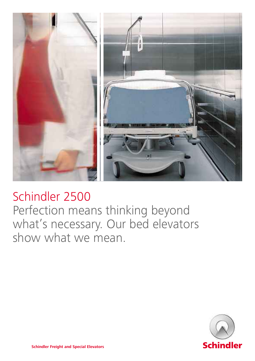

### Schindler 2500

Perfection means thinking beyond what's necessary. Our bed elevators show what we mean.

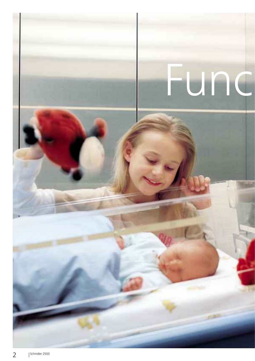## n

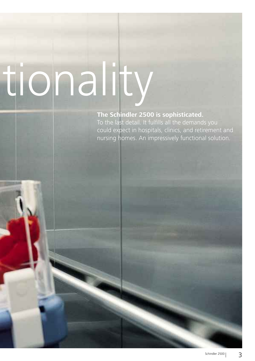## tionality

**The Schindler 2500 is sophisticated.** To the last detail. It fulfills all the demands you could expect in hospitals, clinics, and retirement and nursing homes. An impressively functional solution.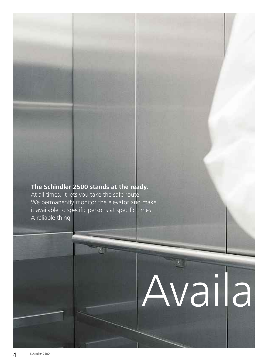#### **The Schindler 2500 stands at the ready.**

At all times. It lets you take the safe route. We permanently monitor the elevator and make it available to specific persons at specific times. A reliable thing.

M T

# Availa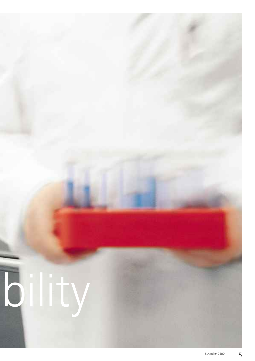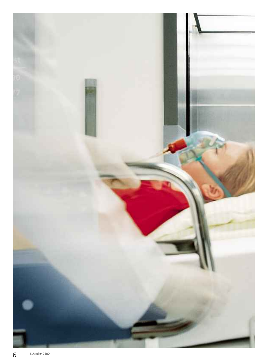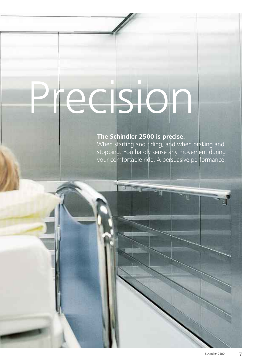## Precision

#### **The Schindler 2500 is precise.**

When starting and riding, and when braking and stopping. You hardly sense any movement during your comfortable ride. A persuasive performance.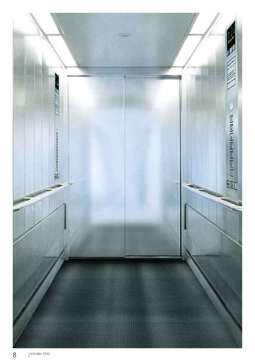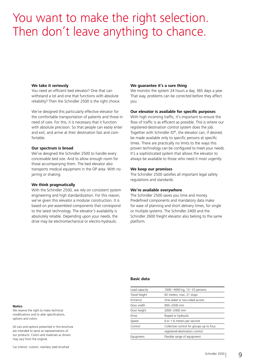### You want to make the right selection. Then don't leave anything to chance.

#### **We take it seriously**

You need an efficient bed elevator? One that can withstand a lot and one that functions with absolute reliability? Then the Schindler 2500 is the right choice.

We've designed this particularly effective elevator for the comfortable transportation of patients and those in need of care. For this, it is necessary that it function with absolute precision. So that people can easily enter and exit, and arrive at their destination fast and comfortable.

#### **Our spectrum is broad**

We've designed the Schindler 2500 to handle every conceivable bed size. And to allow enough room for those accompanying them. The bed elevator also transports medical equipment in the OP area. With no jarring or shaking.

#### **We think pragmatically**

With the Schindler 2500, we rely on consistent system engineering and high standardization. For this reason, we've given this elevator a modular construction. It is based on pre-assembled components that correspond to the latest technology. The elevator's availability is absolutely reliable. Depending upon your needs, the drive may be electromechanical or electro-hydraulic.

#### **We quarantee it's a sure thing**

We monitor the system 24 hours a day, 365 days a year. That way, problems can be corrected before they affect you.

#### **Our elevator is available for specific purposes**

With high incoming traffic, it's important to ensure the flow of traffic is as efficient as possible. This is where our registered-destination control system does the job. Together with Schindler ID®, the elevator can, if desired, be made available only to specific persons at specific times. There are practically no limits to the ways this proven technology can be configured to meet your needs. It's a sophisticated system that allows the elevator to always be available to those who need it most urgently.

#### **We keep our promises**

The Schindler 2500 satisfies all important legal safety regulations and standards.

#### **We're available everywhere**

The Schindler 2500 saves you time and money. Predefined components and mandatory data make for ease of planning and short delivery times, for single or multiple systems. The Schindler 2400 and the Schindler 2600 freight elevator also belong to the same platform.

#### **Basic data**

| Load capacity | 1000-4000 kg, 13-53 persons               |
|---------------|-------------------------------------------|
| Travel height | 65 meters; max. 21 stops                  |
| Entrance      | One-sided or two-sided access             |
| Door width    | 900-2500 mm                               |
| Door height   | 2000-2400 mm                              |
| <b>Drive</b>  | Roped or hydraulic                        |
| Speed         | 0.4-1.6 meters per second                 |
| Control       | Collective control for groups up to four; |
|               | registered-destination control            |
| Equipment     | Flexible range of equipment               |

#### **Notice**

We reserve the right to make technical modifications and to alter specifications, options and colors.

All cars and options presented in this brochure are intended to serve as representations of our products. Colors and materials as shown may vary from the original.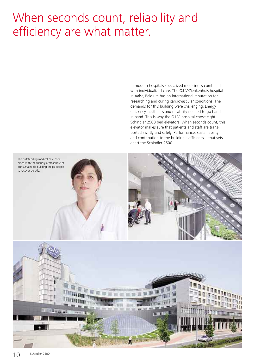## When seconds count, reliability and efficiency are what matter.

In modern hospitals specialized medicine is combined with individualized care. The O.L.V-Zienkenhuis hospital in Aalst, Belgium has an international reputation for researching and curing cardiovascular conditions. The demands for this building were challenging. Energy efficiency, aesthetics and reliability needed to go hand in hand. This is why the O.L.V. hospital chose eight Schindler 2500 bed elevators. When seconds count, this elevator makes sure that patients and staff are transported swiftly and safely. Performance, sustainability and contribution to the building's efficiency – that sets apart the Schindler 2500.

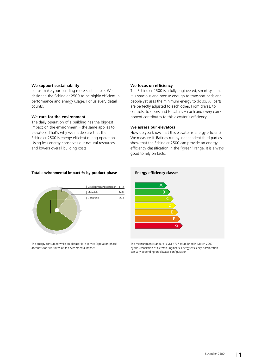#### **We support sustainability**

Let us make your building more sustainable. We designed the Schindler 2500 to be highly efficient in performance and energy usage. For us every detail counts.

#### **We care for the environment**

The daily operation of a building has the biggest impact on the environment – the same applies to elevators. That's why we made sure that the Schindler 2500 is energy efficient during operation. Using less energy conserves our natural resources and lowers overall building costs.

#### **We focus on efficiency**

The Schindler 2500 is a fully engineered, smart system. It is spacious and precise enough to transport beds and people yet uses the minimum energy to do so. All parts are perfectly adjusted to each other. From drives, to controls, to doors and to cabins – each and every component contributes to this elevator's efficiency.

#### **We assess our elevators**

How do you know that this elevator is energy efficient? We measure it. Ratings run by independent third parties show that the Schindler 2500 can provide an energy efficiency classification in the "green" range. It is always good to rely on facts.

#### **Total environmental impact % by product phase**



The energy consumed while an elevator is in service (operation phase) accounts for two-thirds of its environmental impact.

#### **Energy efficiency classes**



The measurement standard is VDI 4707 established in March 2009 by the Association of German Engineers. Energy efficiency classification can vary depending on elevator configuration.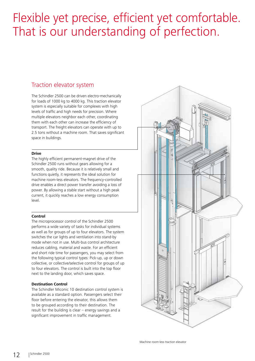## Flexible yet precise, efficient yet comfortable. That is our understanding of perfection.

#### Traction elevator system

The Schindler 2500 can be driven electro-mechanically for loads of 1000 kg to 4000 kg. This traction elevator system is especially suitable for complexes with high levels of traffic and high needs for precision. Where multiple elevators neighbor each other, coordinating them with each other can increase the efficiency of transport. The freight elevators can operate with up to 2.5 tons without a machine room. That saves significant space in buildings.

#### **Drive**

The highly efficient permanent-magnet drive of the Schindler 2500 runs without gears allowing for a smooth, quality ride. Because it is relatively small and functions quietly, it represents the ideal solution for machine room-less elevators. The frequency-controlled drive enables a direct power transfer avoiding a loss of power. By allowing a stable start without a high peak current, it quickly reaches a low energy consumption level.

#### **Control**

The microprocessor control of the Schindler 2500 performs a wide variety of tasks for individual systems as well as for groups of up to four elevators. The system switches the car lights and ventilation into stand-by mode when not in use. Multi-bus control architecture reduces cabling, material and waste. For an efficient and short ride time for passengers, you may select from the following typical control types: Pick-up, up or down collective, or collective/selective control for groups of up to four elevators. The control is built into the top floor next to the landing door, which saves space.

#### **Destination Control**

The Schindler Miconic 10 destination control system is available as a standard option. Passengers select their floor before entering the elevator, this allows them to be grouped according to their destination. The result for the building is clear – energy savings and a significant improvement in traffic management.

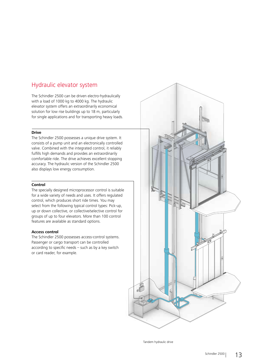#### Hydraulic elevator system

The Schindler 2500 can be driven electro-hydraulically with a load of 1000 kg to 4000 kg. The hydraulic elevator system offers an extraordinarily economical solution for low rise buildings up to 18 m, particularly for single applications and for transporting heavy loads.

#### **Drive**

The Schindler 2500 possesses a unique drive system. It consists of a pump unit and an electronically controlled valve. Combined with the integrated control, it reliably fulfills high demands and provides an extraordinarily comfortable ride. The drive achieves excellent stopping accuracy. The hydraulic version of the Schindler 2500 also displays low energy consumption.

#### **Control**

The specially designed microprocessor control is suitable for a wide variety of needs and uses. It offers regulated control, which produces short ride times. You may select from the following typical control types: Pick-up, up or down collective, or collective/selective control for groups of up to four elevators. More than 100 control features are available as standard options.

#### **Access control**

The Schindler 2500 possesses access-control systems. Passenger or cargo transport can be controlled according to specific needs – such as by a key switch or card reader, for example.



Tandem hydraulic drive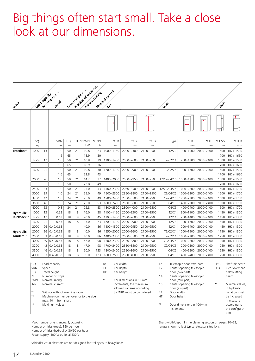## Big things often start small. Take a close look at our dimensions.

| <b>Number of Scope</b> Time<br>Travel height next<br>Nontrinal rating |                                                                       |               |                                                                                                                        |           |          |                         |          |                            |                                                                                                                                                        |                        |                                                           |                                                                                                                                                                                          |                        |                                       |                                                                                                                |
|-----------------------------------------------------------------------|-----------------------------------------------------------------------|---------------|------------------------------------------------------------------------------------------------------------------------|-----------|----------|-------------------------|----------|----------------------------|--------------------------------------------------------------------------------------------------------------------------------------------------------|------------------------|-----------------------------------------------------------|------------------------------------------------------------------------------------------------------------------------------------------------------------------------------------------|------------------------|---------------------------------------|----------------------------------------------------------------------------------------------------------------|
| Drive                                                                 |                                                                       | Load capacity | Passaged Stratt<br>Speed                                                                                               |           |          |                         |          | Monitok current            |                                                                                                                                                        |                        | Door                                                      |                                                                                                                                                                                          |                        | Shaft                                 |                                                                                                                |
|                                                                       |                                                                       |               |                                                                                                                        |           |          |                         |          |                            |                                                                                                                                                        |                        |                                                           |                                                                                                                                                                                          |                        |                                       |                                                                                                                |
|                                                                       | GQ                                                                    |               | <b>VKN</b>                                                                                                             | HQ        |          | ZE $*$ <sup>3</sup> PMN | *3 INN   | $*$ 4 BK                   | $*$ 4 TK                                                                                                                                               | *4 HK                  | Type                                                      | $*$ <sub>5</sub> $BT$                                                                                                                                                                    | *5 HT                  | *6 HSG                                | *6 HSK                                                                                                         |
|                                                                       | kg                                                                    |               | m/s                                                                                                                    | ${\sf m}$ |          | kW                      | Α        | mm                         | mm                                                                                                                                                     | mm                     |                                                           | mm                                                                                                                                                                                       | mm                     | mm                                    | mm                                                                                                             |
| Traction*1                                                            | 1000                                                                  | 13            | 1.0                                                                                                                    | 50        | 21       | 10.8                    | 23       | 1000-1150                  | 2000-2300                                                                                                                                              | 2100-2500              | T2/C2                                                     | $900 - 1000$                                                                                                                                                                             | 2000-2400              | 1500                                  | $HK + 1500$                                                                                                    |
|                                                                       |                                                                       |               | 1.6                                                                                                                    | 65        |          | 18.9                    | 30       |                            |                                                                                                                                                        |                        |                                                           |                                                                                                                                                                                          |                        | 1700                                  | $HK + 1650$                                                                                                    |
|                                                                       | 1275                                                                  | 17            | 1.0                                                                                                                    | 50        | 21       | 10.8                    | 29       | 1100-1400                  | 2000-2600                                                                                                                                              | 2100-2500              | T2/C2/C4                                                  | $900 - 1300$                                                                                                                                                                             | 2000-2400              | 1500                                  | $HK + 1500$                                                                                                    |
|                                                                       |                                                                       |               | 1.6                                                                                                                    | 65        |          | 18.9                    | 36       |                            |                                                                                                                                                        |                        |                                                           |                                                                                                                                                                                          |                        | 1700                                  | $HK + 1650$                                                                                                    |
|                                                                       | 1600                                                                  | 21            | 1.0                                                                                                                    | 50        | 21       | 10.8                    | 30       | 1200-1700                  | 2000-2900                                                                                                                                              | 2100-2500              | T2/C2/C4                                                  | $900 - 1600$                                                                                                                                                                             | 2000-2400              | 1500                                  | $HK + 1500$                                                                                                    |
|                                                                       |                                                                       |               | 1.6                                                                                                                    | 65        |          | 22.8                    | 43       |                            |                                                                                                                                                        |                        |                                                           |                                                                                                                                                                                          |                        | 1700                                  | $HK + 1650$                                                                                                    |
|                                                                       | 2000                                                                  | 26            | 1.0                                                                                                                    | 50        | 21       | 14.2                    | 37       | 1400-2000                  | 2000-2950                                                                                                                                              | 2100-2500              | T2/C2/C4/C6                                               | 1000-1900                                                                                                                                                                                | 2000-2400              | 1500                                  | $HK + 1500$                                                                                                    |
|                                                                       |                                                                       |               | 1.6                                                                                                                    | 50        |          | 22.8                    | 49       |                            |                                                                                                                                                        |                        |                                                           |                                                                                                                                                                                          |                        | 1700                                  | $HK + 1650$                                                                                                    |
|                                                                       | 2500                                                                  | 33            | 1.0                                                                                                                    | 50        | 21       | 25.0                    | 43       | 1400-2300                  | 2050-3500                                                                                                                                              | 2100-2500              | T2/C2/C4/C6                                               | 1000-2200                                                                                                                                                                                | 2000-2400              | 1600                                  | $HK + 1700$                                                                                                    |
|                                                                       | 3000                                                                  | 39            | 1.0                                                                                                                    | 24        | 21       | 25.0                    | 49       | 1500-2300                  | 2350-3800                                                                                                                                              | 2100-2500              | C2/C4/C6                                                  | 1000-2200                                                                                                                                                                                | 2000-2400              | 1600                                  | $HK + 1700$                                                                                                    |
|                                                                       | 3200<br>3500                                                          | 42<br>46      | 1.0<br>1.0                                                                                                             | 24<br>24  | 21<br>21 | 25.0<br>25.0            | 49<br>53 | 1700-2400<br>1800-2400     | 2350-3500<br>2550-3600                                                                                                                                 | 2100-2500<br>2100-2500 | C2/C4/C6<br>C4/C6                                         | 1200-2300<br>1400-2300                                                                                                                                                                   | 2000-2400<br>2000-2400 | 1600<br>1600                          | $HK + 1700$<br>$HK + 1700$                                                                                     |
|                                                                       | 4000                                                                  | 53            | 0.8                                                                                                                    | 24        | 21       | 22.8                    | 53       | 1800-2500                  | 2800-4000                                                                                                                                              | 2100-2500              | C4/C6                                                     | 1400-2400                                                                                                                                                                                | 2000-2400              | 1600                                  | $HK + 1700$                                                                                                    |
| <b>Hydraulic</b>                                                      | 1000                                                                  | 13            | 0.63                                                                                                                   | 18        | 8        | 16.0                    | 38       | 1100-1150                  | 2000-2300                                                                                                                                              | 2100-2500              | T2/C4                                                     | $900 - 1100$                                                                                                                                                                             | 2000-2400              | 1450                                  | $HK + 1300$                                                                                                    |
| Rucksack* <sup>2</sup>                                                | 1275                                                                  | 17            | 0.63                                                                                                                   | 18        | 8        | 20.0                    | 45       | 1100-1400                  | 2000-2600                                                                                                                                              | 2100-2500              | T2/C4                                                     | $900 - 1400$                                                                                                                                                                             | 2000-2400              | 1450                                  | $HK + 1300$                                                                                                    |
|                                                                       | 1600                                                                  | 21            | 0.63                                                                                                                   | 18        | 8        | 33.0                    | 73       | 1200-1700                  | 2000-2900                                                                                                                                              | 2100-2500              | T2/C4                                                     | $900 - 1600$                                                                                                                                                                             | 2000-2400              | 1450                                  | $HK + 1300$                                                                                                    |
|                                                                       | 2000                                                                  |               | 26 0.40/0.63                                                                                                           |           |          | 40.0                    | 86       | 1400-1500                  | 2000-2950                                                                                                                                              | 2100-2500              | T2/C4                                                     | 1000-1400                                                                                                                                                                                | 2000-2400              | 1450                                  | $HK + 1300$                                                                                                    |
| <b>Hydraulic</b>                                                      | 2000                                                                  | 26            | 0.40/0.63                                                                                                              | 18        | 8        | 40.0                    | 86       | 1550-2000                  | 2000-2600                                                                                                                                              | 2100-2500              | T2/C2/C4                                                  | 1000-1900                                                                                                                                                                                | 2000-2400              | 1150                                  | $HK + 1300$                                                                                                    |
| Tandem <sup>*2</sup>                                                  | 2500                                                                  |               | 33 0.40/0.63                                                                                                           | 18        | 8        | 40.0                    | 86       | 1400-2300                  | 2050-3500                                                                                                                                              | 2100-2500              | T2/C2/C4                                                  | 1000-2200                                                                                                                                                                                | 2000-2400              | 1250                                  | $HK + 1300$                                                                                                    |
|                                                                       | 3000                                                                  |               | 39 0.40/0.63                                                                                                           | 18        | 8        | 47.0                    | 98       | 1500-2300                  | 2350-3800                                                                                                                                              | 2100-2500              | C2/C4/C6                                                  | 1000-2200                                                                                                                                                                                | 2000-2400              | 1250                                  | $HK + 1300$                                                                                                    |
|                                                                       | 3200                                                                  |               | 42 0.40/0.63                                                                                                           | 18        | 8        | 47.0                    | 98       | 1700-2400                  | 2350-3500                                                                                                                                              | 2100-2500              | C2/C4/C6                                                  | 1200-2300                                                                                                                                                                                | 2000-2400              | 1250                                  | $HK + 1300$                                                                                                    |
|                                                                       | 3500                                                                  |               | 46 0.40/0.63                                                                                                           | 18        | 8        | 60.0                    | 123      | 1800-2400                  | 2550-3600                                                                                                                                              | 2100-2500              | C4/C6                                                     | 1400-2300                                                                                                                                                                                | 2000-2400              | 1250                                  | $HK + 1300$                                                                                                    |
|                                                                       | 4000                                                                  |               | 53 0.40/0.63                                                                                                           | 18        | 8        | 60.0                    | 123      | 1800-2500                  | 2800-4000                                                                                                                                              | 2100-2500              | C4/C6                                                     | 1400-2400                                                                                                                                                                                | 2000-2400              | 1250                                  | $HK + 1300$                                                                                                    |
|                                                                       | GQ<br><b>VKN</b><br>HQ<br>ZE<br><b>PMN</b><br><b>INN</b><br>$\star$ 1 | Speed         | Load capacity<br>Travel height<br>Number of stops<br>Nominal rating<br>Nominal current<br>With or without machine room |           |          |                         |          | BK<br>TK<br>HK<br>$\star4$ | Car width<br>Car depth<br>Car height<br>Car dimensions in 50-mm<br>increments, the maximum<br>allowed car area according<br>to EN81 must be considered |                        | T <sub>2</sub><br>C2<br>C4<br>C <sub>6</sub><br><b>BT</b> | Telescopic door, two-part<br>Center-opening telescopic<br>door (two-part)<br>Center-opening telescopic<br>door (four-part)<br>Center-opening telescopic<br>door (six-part)<br>Door width |                        | <b>HSG</b><br><b>HSK</b><br>$\star 6$ | Shaft pit depth<br>Clear overhead<br>below lifting<br>beam<br>Minimal values<br>in hydraulic<br>variation must |
|                                                                       | $\star 2$                                                             |               | Machine room under, over, or to the side;                                                                              |           |          |                         |          |                            |                                                                                                                                                        |                        | HT                                                        | Door height                                                                                                                                                                              |                        | be increased                          |                                                                                                                |

Max. number of entrances: 2, opposing Number of rides (rope): 180 per hour Number of rides (hydraulic): 30/60 per hour Power supply: 400 V; optional 230 V

max. 10 m from shaft

<sup>3</sup> Maximum values

Shaft width/depth: In the planning section on pages 20–23, ranges shown reflect typical elevator situations.

be increased in measure according to the configuration

<sup>5</sup> Door dimensions in 100-mm

increments

 $*5$ 

Schindler 2500 elevators are not designed for trolleys with heavy loads

 $*3$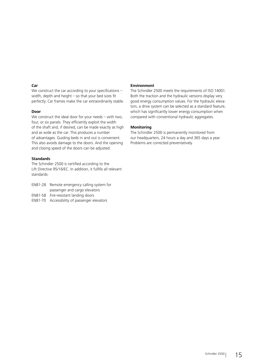#### **Car**

We construct the car according to your specifications width, depth and height – so that your bed sizes fit perfectly. Car frames make the car extraordinarily stable.

#### **Door**

We construct the ideal door for your needs – with two, four, or six panels. They efficiently exploit the width of the shaft and, if desired, can be made exactly as high and as wide as the car. This produces a number of advantages. Guiding beds in and out is convenient. This also avoids damage to the doors. And the opening and closing speed of the doors can be adjusted.

#### **Standards**

The Schindler 2500 is certified according to the Lift Directive 95/16/EC. In addition, it fulfills all relevant standards:

- EN81-28 Remote emergency calling system for passenger and cargo elevators
- EN81-58 Fire-resistant landing doors
- EN81-70 Accessibility of passenger elevators

#### **Environment**

The Schindler 2500 meets the requirements of ISO 14001. Both the traction and the hydraulic versions display very good energy consumption values. For the hydraulic elevators, a drive system can be selected as a standard feature, which has significantly lower energy consumption when compared with conventional hydraulic aggregates.

#### **Monitoring**

The Schindler 2500 is permanently monitored from our headquarters, 24 hours a day and 365 days a year. Problems are corrected preventatively.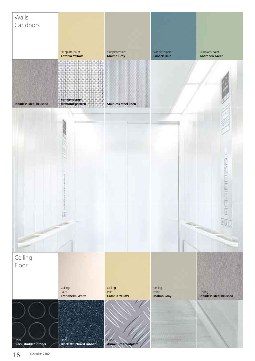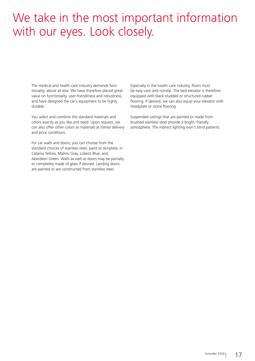## We take in the most important information with our eyes. Look closely.

The medical and health care industry demands functionality, above all else. We have therefore placed great value on functionality, user-friendliness and robustness, and have designed the car's equipment to be highly durable.

You select and combine the standard materials and colors exactly as you like and need. Upon request, we can also offer other colors or materials at similar delivery and price conditions.

For car walls and doors, you can choose from the standard choices of stainless steel, paint or skinplate, in Catania Yellow, Malmo Gray, Lübeck Blue, and Aberdeen Green. Walls as well as doors may be partially or completely made of glass if desired. Landing doors are painted or are constructed from stainless steel.

Especially in the health care industry, floors must be easy-care and nonslip. The bed elevator is therefore equipped with black studded or structured rubber flooring. If desired, we can also equip your elevator with treadplate or stone flooring.

Suspended ceilings that are painted or made from brushed stainless steel provide a bright, friendly atmosphere. The indirect lighting won't blind patients.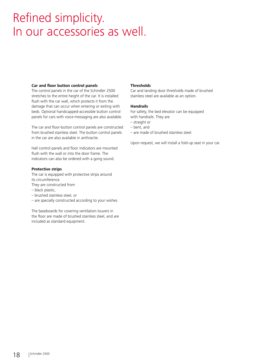## Refined simplicity. In our accessories as well.

#### **Car and floor button control panels**

The control panels in the car of the Schindler 2500 stretches to the entire height of the car. It is installed flush with the car wall, which protects it from the damage that can occur when entering or exiting with beds. Optional handicapped-accessible button control panels for cars with voice-messaging are also available.

The car and floor-button control panels are constructed from brushed stainless steel. The button control panels in the car are also available in anthracite.

Hall control panels and floor indicators are mounted flush with the wall or into the door frame. The indicators can also be ordered with a gong sound.

#### **Protective strips**

The car is equipped with protective strips around its circumference.

They are constructed from

- black plastic,
- brushed stainless steel, or
- are specially constructed according to your wishes.

The baseboards for covering ventilation louvers in the floor are made of brushed stainless steel, and are included as standard equipment.

#### **Thresholds**

Car and landing door thresholds made of brushed stainless steel are available as an option.

#### **Handrails**

For safety, the bed elevator can be equipped with handrails. They are

- straight or
- bent, and
- are made of brushed stainless steel.

Upon request, we will install a fold-up seat in your car.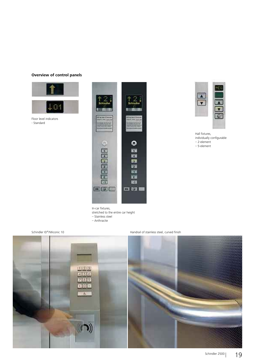#### **Overview of control panels**



Floor level indicators - Standard





Hall fixtures, individually configurable – 2-element – 5-element

In-car fixtures,

stretched to the entire car height

– Stainless steel

– Anthracite





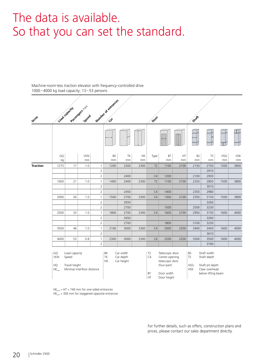## The data is available. So that you can set the standard.

Machine-room-less traction elevator with frequency-controlled drive

| 1000-4000 kg load capacity; 13-53 persons |                                                                                                                |    |            |                |                |                                      |               |                                                                                                                                             |      |      |                                                                                                                               |           |            |            |
|-------------------------------------------|----------------------------------------------------------------------------------------------------------------|----|------------|----------------|----------------|--------------------------------------|---------------|---------------------------------------------------------------------------------------------------------------------------------------------|------|------|-------------------------------------------------------------------------------------------------------------------------------|-----------|------------|------------|
| Drive                                     | Munice & entrances<br>Load capacity esemely start                                                              |    |            |                |                |                                      |               | Door                                                                                                                                        |      |      | Shak                                                                                                                          |           |            |            |
|                                           |                                                                                                                |    |            |                |                |                                      |               |                                                                                                                                             |      |      |                                                                                                                               |           |            |            |
|                                           | GQ                                                                                                             |    | <b>VKN</b> |                | BK             | TK                                   | $\mathsf{HK}$ | Type                                                                                                                                        | BT   | HT   | <b>BS</b>                                                                                                                     | <b>TS</b> | <b>HSG</b> | <b>HSK</b> |
|                                           | kg                                                                                                             |    | m/s        |                | mm             | mm                                   | mm            |                                                                                                                                             | mm   | mm   | mm                                                                                                                            | mm        | mm         | mm         |
| <b>Traction</b>                           | 1275                                                                                                           | 17 | 1.0        | $\mathbf{1}$   | 1200           | 2300                                 | 2300          | T <sub>2</sub>                                                                                                                              | 1100 | 2100 | 2150                                                                                                                          | 2750      | 1500       | 3800       |
|                                           |                                                                                                                |    |            | $\mathsf{2}\,$ |                |                                      |               |                                                                                                                                             |      |      |                                                                                                                               | 2910      |            |            |
|                                           |                                                                                                                |    |            | $\sqrt{2}$     |                | 2400                                 |               | C4                                                                                                                                          | 1200 |      | 2100                                                                                                                          | 2930      |            |            |
|                                           | 1600                                                                                                           | 21 | 1.0        | $\mathbf{1}$   | 1400           | 2400                                 | 2300          | T <sub>2</sub>                                                                                                                              | 1100 | 2100 | 2250                                                                                                                          | 2850      | 1500       | 3800       |
|                                           |                                                                                                                |    |            | $\sqrt{2}$     |                |                                      |               |                                                                                                                                             |      |      |                                                                                                                               | 3010      |            |            |
|                                           |                                                                                                                |    |            | $\overline{2}$ |                | 2450                                 |               | C4                                                                                                                                          | 1400 |      | 2350                                                                                                                          | 2980      |            |            |
|                                           | 2000                                                                                                           | 26 | 1.0        | $\mathbf{1}$   | 1500           | 2700                                 | 2300          | C4                                                                                                                                          | 1300 | 2100 | 2350                                                                                                                          | 3150      | 1500       | 3800       |
|                                           |                                                                                                                |    |            | $\overline{2}$ |                | 2650                                 |               |                                                                                                                                             |      |      |                                                                                                                               | 3260      |            |            |
|                                           |                                                                                                                |    |            | $\overline{2}$ |                | 2700                                 |               |                                                                                                                                             | 1500 |      | 2500                                                                                                                          | 3230      |            |            |
|                                           | 2500                                                                                                           | 33 | 1.0        | $\mathbf{1}$   | 1800           | 2700                                 | 2300          | C4                                                                                                                                          | 1600 | 2100 | 2950                                                                                                                          | 3150      | 1600       | 4000       |
|                                           |                                                                                                                |    |            | $\sqrt{2}$     |                | 2650                                 |               |                                                                                                                                             |      |      |                                                                                                                               | 3260      |            |            |
|                                           |                                                                                                                |    |            | $\overline{2}$ |                | 2700                                 |               |                                                                                                                                             | 1800 |      | 3100                                                                                                                          | 3230      |            |            |
|                                           | 3500                                                                                                           | 46 | 1.0        | $\mathbf{1}$   | 2100           | 3000                                 | 2300          | C4                                                                                                                                          | 2000 | 2200 | 3400                                                                                                                          | 3450      | 1600       | 4000       |
|                                           |                                                                                                                |    |            | $\mathsf{2}\,$ |                |                                      |               |                                                                                                                                             |      |      |                                                                                                                               | 3610      |            |            |
|                                           | 4000                                                                                                           | 53 | 0.8        | $\mathbf{1}$   | 2300           | 3000                                 | 2300          | C6                                                                                                                                          | 2200 | 2200 | 3500                                                                                                                          | 3500      | 1600       | 4000       |
|                                           |                                                                                                                |    |            | $\overline{2}$ |                |                                      |               |                                                                                                                                             |      |      |                                                                                                                               | 3790      |            |            |
|                                           | GQ<br>Load capacity<br><b>VKN</b><br>Speed<br>HQ<br>Travel height<br>$HE_{min}$<br>Minimal interfloor distance |    |            |                | ΒK<br>TK<br>НK | Car width<br>Car depth<br>Car height |               | Telescopic door<br>T <sub>2</sub><br>C4<br>Center-opening<br>telescopic door<br>(four-part)<br><b>BT</b><br>Door width<br>HT<br>Door height |      |      | Shaft width<br>BS<br>Shaft depth<br>TS<br><b>HSG</b><br>Shaft pit depth<br>Clear overhead<br><b>HSK</b><br>below lifting beam |           |            |            |

 $HE_{min} = HT + 740$  mm for one-sided entrances

 $HE<sub>min</sub> = 300$  mm for staggered opposite entrances

For further details, such as offers, construction plans and prices, please contact our sales department directly.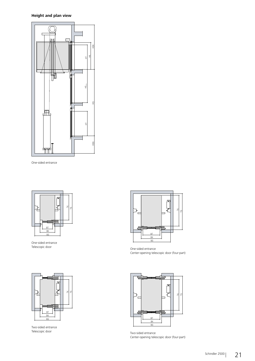**Height and plan view** 



One-sided entrance



One-sided entrance Telescopic door



Two-sided entrance Telescopic door



One-sided entrance Center-opening telescopic door (four-part)



Two-sided entrance Center-opening telescopic door (four-part)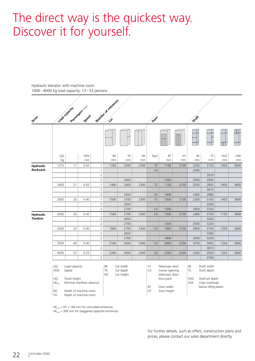## The direct way is the quickest way. Discover it for yourself.

Hydraulic elevator with machine room

| 1000-4000 kg load capacity; 13-53 persons                                   |                                                   |                                                                                                 |                  |                |                      |                                      |      |                                         |                                                                                                  |      |                                                    |                                                                                       |            |            |
|-----------------------------------------------------------------------------|---------------------------------------------------|-------------------------------------------------------------------------------------------------|------------------|----------------|----------------------|--------------------------------------|------|-----------------------------------------|--------------------------------------------------------------------------------------------------|------|----------------------------------------------------|---------------------------------------------------------------------------------------|------------|------------|
| $\frac{\mathsf{O}^{\mathsf{i}\mathsf{i}\mathsf{v}^\mathsf{c}}}{\mathsf{I}}$ |                                                   | Load capacity                                                                                   | Passangers (120) |                | Munices of entrances |                                      |      | Door                                    |                                                                                                  |      | Shak                                               |                                                                                       |            |            |
|                                                                             |                                                   |                                                                                                 |                  |                |                      |                                      |      |                                         |                                                                                                  |      |                                                    |                                                                                       |            |            |
|                                                                             | GQ                                                |                                                                                                 | <b>VKN</b>       |                | BK                   | TK                                   | HK   | Type                                    | BT                                                                                               | HT   | <b>BS</b>                                          | <b>TS</b>                                                                             | <b>HSG</b> | <b>HSK</b> |
|                                                                             | kg                                                |                                                                                                 | m/s              |                | mm                   | mm                                   | mm   |                                         | mm                                                                                               | mm   | mm                                                 | mm                                                                                    | mm         | mm         |
| <b>Hydraulic</b>                                                            | 1275                                              | 17                                                                                              | 0.63             | $\mathbf{1}$   | 1200                 | 2300                                 | 2300 | T <sub>2</sub>                          | 1100                                                                                             | 2100 | 2250                                               | 2750                                                                                  | 1450       | 3600       |
| <b>Rucksack</b>                                                             |                                                   |                                                                                                 |                  | $\mathbf{1}$   |                      |                                      |      | C4                                      |                                                                                                  |      | 2000                                               |                                                                                       |            |            |
|                                                                             |                                                   |                                                                                                 |                  | $\overline{2}$ |                      |                                      |      |                                         |                                                                                                  |      |                                                    | 2910                                                                                  |            |            |
|                                                                             |                                                   |                                                                                                 |                  | $\overline{2}$ |                      | 2400                                 |      |                                         | 1200                                                                                             |      | 2050                                               | 2930                                                                                  |            |            |
|                                                                             | 1600                                              | 21                                                                                              | 0.63             | $\mathbf{1}$   | 1400                 | 2400                                 | 2300 | T <sub>2</sub>                          | 1100                                                                                             | 2100 | 2050                                               | 2850                                                                                  | 1450       | 3600       |
|                                                                             |                                                   |                                                                                                 |                  | $\overline{2}$ |                      |                                      |      |                                         |                                                                                                  |      |                                                    | 3010                                                                                  |            |            |
|                                                                             |                                                   |                                                                                                 |                  | $\mathbf 2$    |                      | 2450                                 |      | C4                                      | 1400                                                                                             |      | 2400                                               | 2980                                                                                  |            |            |
|                                                                             | 2000                                              | 26                                                                                              | 0.40             | $\mathbf{1}$   | 1500                 | 2700                                 | 2300 | T <sub>2</sub>                          | 1300                                                                                             | 2100 | 2300                                               | 3150                                                                                  | 1450       | 3600       |
|                                                                             |                                                   |                                                                                                 |                  | $\overline{2}$ |                      | 2650                                 |      |                                         |                                                                                                  |      |                                                    | 3260                                                                                  |            |            |
|                                                                             |                                                   |                                                                                                 |                  | $\mathsf{2}\,$ |                      | 2700                                 |      | C4                                      | 1500                                                                                             |      | 2650                                               | 3230                                                                                  |            |            |
| <b>Hydraulic</b>                                                            | 2000                                              | 26                                                                                              | 0.40             | $\mathbf{1}$   | 1500                 | 2700                                 | 2300 | C4                                      | 1300                                                                                             | 2100 | 2400                                               | 3150                                                                                  | 1150       | 3600       |
| <b>Tandem</b>                                                               |                                                   |                                                                                                 |                  | $\overline{2}$ |                      | 2650                                 |      |                                         |                                                                                                  |      |                                                    | 3260                                                                                  |            |            |
|                                                                             |                                                   |                                                                                                 |                  | $\overline{2}$ |                      | 2700                                 |      |                                         | 1500                                                                                             |      | 2500                                               | 3230                                                                                  |            |            |
|                                                                             | 2500                                              | 33                                                                                              | 0.40             | $\mathbf{1}$   | 1800                 | 2700                                 | 2300 | C4                                      | 1600                                                                                             | 2100 | 2800                                               | 3150                                                                                  | 1250       | 3600       |
|                                                                             |                                                   |                                                                                                 |                  | $\overline{2}$ |                      | 2650                                 |      |                                         |                                                                                                  |      |                                                    | 3260                                                                                  |            |            |
|                                                                             |                                                   |                                                                                                 |                  | $\overline{2}$ |                      | 2700                                 |      |                                         | 1800                                                                                             |      | 2950                                               | 3230                                                                                  |            |            |
|                                                                             | 3500                                              | 46                                                                                              | 0.40             | $\mathbf{1}$   | 2100                 | 3000                                 | 2300 | C4                                      | 2000                                                                                             | 2200 | 3250                                               | 3450                                                                                  | 1250       | 3600       |
|                                                                             |                                                   |                                                                                                 |                  | $\overline{2}$ |                      |                                      |      |                                         |                                                                                                  |      |                                                    | 3610                                                                                  |            |            |
|                                                                             | 4000                                              | 53                                                                                              | 0.25             | $\mathbf{1}$   | 2300                 | 3000                                 | 2300 | C <sub>6</sub>                          | 2200                                                                                             | 2200 | 3300                                               | 3500                                                                                  | 1250       | 3600       |
|                                                                             |                                                   |                                                                                                 |                  | $\overline{2}$ |                      |                                      |      |                                         |                                                                                                  |      |                                                    | 3790                                                                                  |            |            |
|                                                                             | GQ<br><b>VKN</b><br>HQ<br>$HE_{min}$<br><b>BO</b> | Load capacity<br>Speed<br>Travel height<br>Minimal interfloor distance<br>Width of machine room |                  |                | BK<br>ΤK<br>HK       | Car width<br>Car depth<br>Car height |      | T <sub>2</sub><br>C4<br><b>BT</b><br>HT | Telescopic door<br>Center-opening<br>telescopic door<br>(four-part)<br>Door width<br>Door height |      | <b>BS</b><br><b>TS</b><br><b>HSG</b><br><b>HSK</b> | Shaft width<br>Shaft depth<br>Shaft pit depth<br>Clear overhead<br>below lifting beam |            |            |

TO Depth of machine room

 $HE_{min} = HT + 740$  mm for one-sided entrances  $HE_{min} = 300$  mm for staggered opposite entrances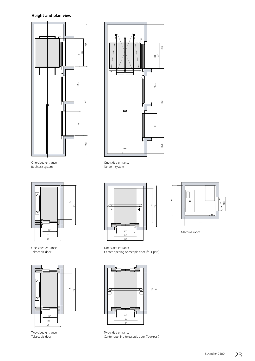#### **Height and plan view**



One-sided entrance Rucksack system



One-sided entrance Telescopic door



Two-sided entrance Telescopic door



One-sided entrance Tandem system





Machine room

One-sided entrance Center-opening telescopic door (four-part)



Two-sided entrance Center-opening telescopic door (four-part)